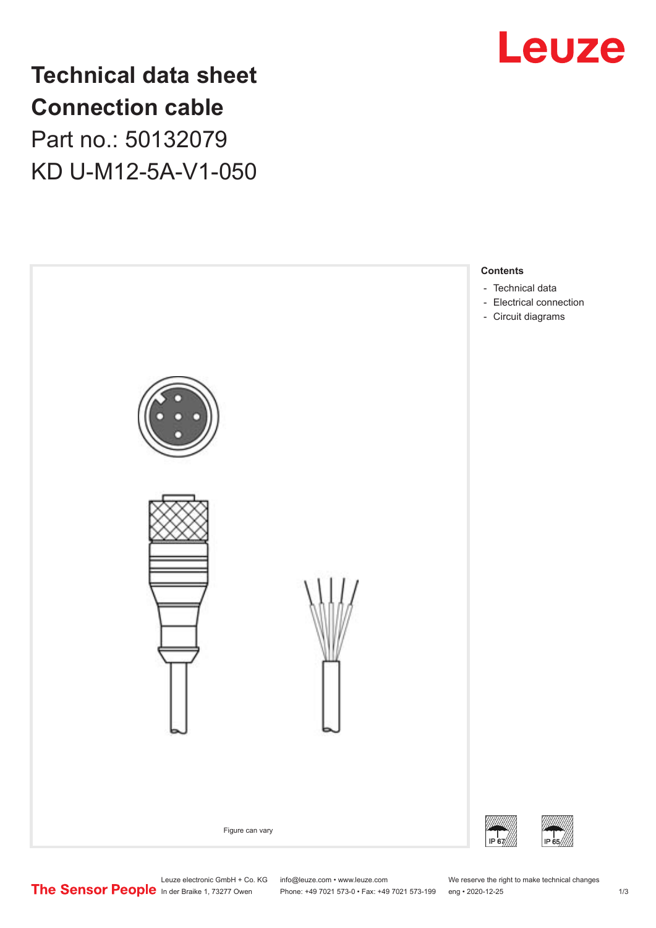

## **Technical data sheet Connection cable** Part no.: 50132079 KD U-M12-5A-V1-050



Leuze electronic GmbH + Co. KG info@leuze.com • www.leuze.com We reserve the right to make technical changes<br>
The Sensor People in der Braike 1, 73277 Owen Phone: +49 7021 573-0 • Fax: +49 7021 573-199 eng • 2020-12-25

Phone: +49 7021 573-0 • Fax: +49 7021 573-199 eng • 2020-12-25 1 2020-12-25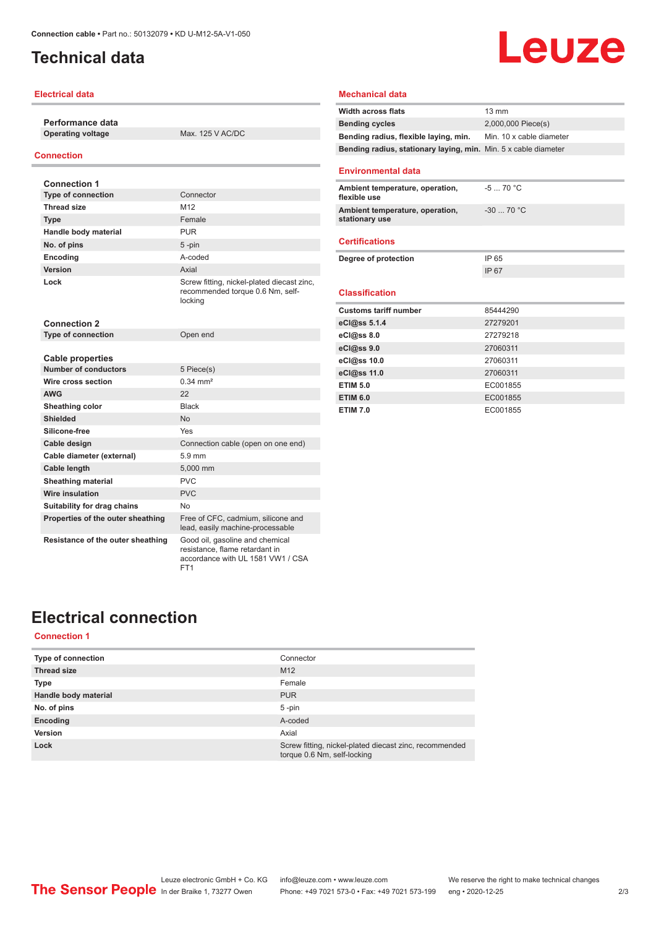## <span id="page-1-0"></span>**Technical data**

#### **Electrical data**

**Performance data**

**Operating voltage** Max. 125 V AC/DC

#### **Connection**

| <b>Connection 1</b>               |                                                                                                        |
|-----------------------------------|--------------------------------------------------------------------------------------------------------|
| <b>Type of connection</b>         | Connector                                                                                              |
| <b>Thread size</b>                | M <sub>12</sub>                                                                                        |
| <b>Type</b>                       | Female                                                                                                 |
| Handle body material              | <b>PUR</b>                                                                                             |
| No. of pins                       | $5 - pin$                                                                                              |
| Encoding                          | A-coded                                                                                                |
| Version                           | Axial                                                                                                  |
| Lock                              | Screw fitting, nickel-plated diecast zinc,<br>recommended torque 0.6 Nm, self-<br>locking              |
| <b>Connection 2</b>               |                                                                                                        |
| <b>Type of connection</b>         | Open end                                                                                               |
|                                   |                                                                                                        |
| Cable properties                  |                                                                                                        |
| <b>Number of conductors</b>       | 5 Piece(s)                                                                                             |
| Wire cross section                | $0.34 \, \text{mm}^2$                                                                                  |
| <b>AWG</b>                        | 22                                                                                                     |
| Sheathing color                   | <b>Black</b>                                                                                           |
| Shielded                          | No                                                                                                     |
| Silicone-free                     | Yes                                                                                                    |
| Cable design                      | Connection cable (open on one end)                                                                     |
| Cable diameter (external)         | $5.9$ mm                                                                                               |
| <b>Cable length</b>               | 5.000 mm                                                                                               |
| <b>Sheathing material</b>         | PVC                                                                                                    |
| Wire insulation                   | PVC                                                                                                    |
| Suitability for drag chains       | No                                                                                                     |
| Properties of the outer sheathing | Free of CFC, cadmium, silicone and<br>lead, easily machine-processable                                 |
| Resistance of the outer sheathing | Good oil, gasoline and chemical<br>resistance, flame retardant in<br>accordance with UL 1581 VW1 / CSA |

FT1

#### **Mechanical data**

| <b>Width across flats</b>                                       | $13 \text{ mm}$          |
|-----------------------------------------------------------------|--------------------------|
| <b>Bending cycles</b>                                           | 2,000,000 Piece(s)       |
| Bending radius, flexible laying, min.                           | Min. 10 x cable diameter |
| Bending radius, stationary laying, min. Min. 5 x cable diameter |                          |
| <b>Environmental data</b>                                       |                          |
| Ambient temperature, operation,<br>flexible use                 | $-570 °C$                |
| Ambient temperature, operation,<br>stationary use               | $-30$ 70 °C              |
| <b>Certifications</b>                                           |                          |
| Degree of protection                                            | IP 65                    |
|                                                                 | IP 67                    |
| <b>Classification</b>                                           |                          |
| <b>Customs tariff number</b>                                    | 85444290                 |
| eCl@ss 5.1.4                                                    | 27279201                 |
| eCl@ss 8.0                                                      | 27279218                 |
| eCl@ss 9.0                                                      | 27060311                 |
| eCl@ss 10.0                                                     | 27060311                 |
| eCl@ss 11.0                                                     | 27060311                 |
| <b>ETIM 5.0</b>                                                 | EC001855                 |
| <b>ETIM 6.0</b>                                                 | EC001855                 |
| <b>ETIM 7.0</b>                                                 | EC001855                 |

**Leuze** 

## **Electrical connection**

#### **Connection 1**

| <b>Type of connection</b> | Connector                                                                             |
|---------------------------|---------------------------------------------------------------------------------------|
| <b>Thread size</b>        | M <sub>12</sub>                                                                       |
| <b>Type</b>               | Female                                                                                |
| Handle body material      | <b>PUR</b>                                                                            |
| No. of pins               | $5 - pin$                                                                             |
| Encoding                  | A-coded                                                                               |
| Version                   | Axial                                                                                 |
| Lock                      | Screw fitting, nickel-plated diecast zinc, recommended<br>torque 0.6 Nm, self-locking |

Leuze electronic GmbH + Co. KG info@leuze.com • www.leuze.com We reserve the right to make technical changes ln der Braike 1, 73277 Owen Phone: +49 7021 573-0 • Fax: +49 7021 573-199 eng • 2020-12-25 2/3